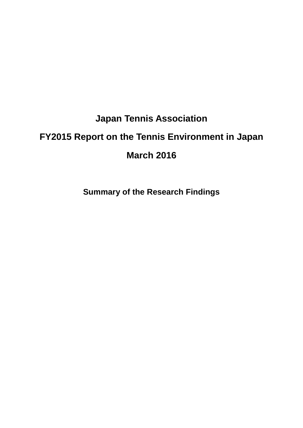# **Japan Tennis Association**

# **FY2015 Report on the Tennis Environment in Japan**

# **March 2016**

**Summary of the Research Findings**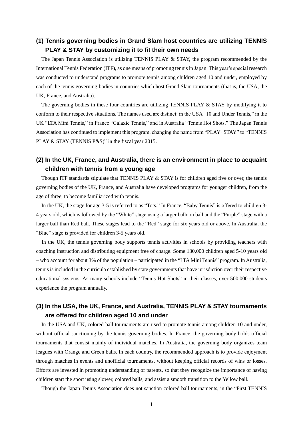#### **(1) Tennis governing bodies in Grand Slam host countries are utilizing TENNIS PLAY & STAY by customizing it to fit their own needs**

The Japan Tennis Association is utilizing TENNIS PLAY & STAY, the program recommended by the International Tennis Federation (ITF), as one means of promoting tennis in Japan. This year's special research was conducted to understand programs to promote tennis among children aged 10 and under, employed by each of the tennis governing bodies in countries which host Grand Slam tournaments (that is, the USA, the UK, France, and Australia).

The governing bodies in these four countries are utilizing TENNIS PLAY  $&$  STAY by modifying it to conform to their respective situations. The names used are distinct: in the USA "10 and Under Tennis," in the UK "LTA Mini Tennis," in France "Galaxie Tennis," and in Australia "Tennis Hot Shots." The Japan Tennis Association has continued to implement this program, changing the name from "PLAY+STAY" to "TENNIS PLAY & STAY (TENNIS P&S)" in the fiscal year 2015.

#### **(2) In the UK, France, and Australia, there is an environment in place to acquaint children with tennis from a young age**

Though ITF standards stipulate that TENNIS PLAY & STAY is for children aged five or over, the tennis governing bodies of the UK, France, and Australia have developed programs for younger children, from the age of three, to become familiarized with tennis.

In the UK, the stage for age 3-5 is referred to as "Tots." In France, "Baby Tennis" is offered to children 3- 4 years old, which is followed by the "White" stage using a larger balloon ball and the "Purple" stage with a larger ball than Red ball. These stages lead to the "Red" stage for six years old or above. In Australia, the "Blue" stage is provided for children 3-5 years old.

In the UK, the tennis governing body supports tennis activities in schools by providing teachers with coaching instruction and distributing equipment free of charge. Some 130,000 children aged 5-10 years old – who account for about 3% of the population – participated in the "LTA Mini Tennis" program. In Australia, tennis is included in the curricula established by state governments that have jurisdiction over their respective educational systems. As many schools include "Tennis Hot Shots" in their classes, over 500,000 students experience the program annually.

#### **(3) In the USA, the UK, France, and Australia, TENNIS PLAY & STAY tournaments are offered for children aged 10 and under**

In the USA and UK, colored ball tournaments are used to promote tennis among children 10 and under, without official sanctioning by the tennis governing bodies. In France, the governing body holds official tournaments that consist mainly of individual matches. In Australia, the governing body organizes team leagues with Orange and Green balls. In each country, the recommended approach is to provide enjoyment through matches in events and unofficial tournaments, without keeping official records of wins or losses. Efforts are invested in promoting understanding of parents, so that they recognize the importance of having children start the sport using slower, colored balls, and assist a smooth transition to the Yellow ball.

Though the Japan Tennis Association does not sanction colored ball tournaments, in the "First TENNIS